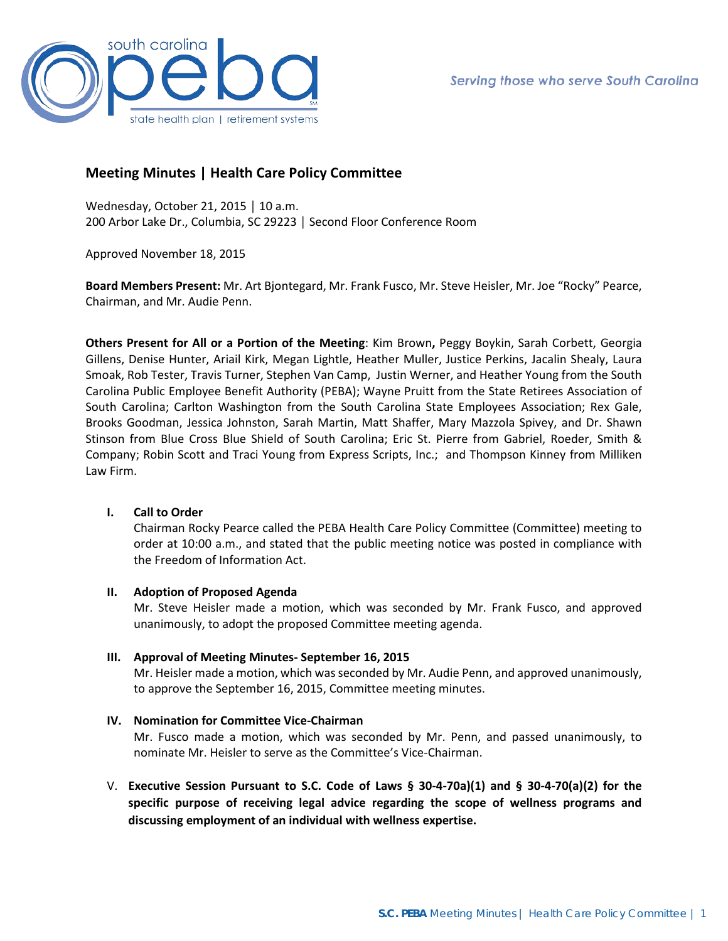

# **Meeting Minutes | Health Care Policy Committee**

Wednesday, October 21, 2015 │ 10 a.m. 200 Arbor Lake Dr., Columbia, SC 29223 │ Second Floor Conference Room

Approved November 18, 2015

**Board Members Present:** Mr. Art Bjontegard, Mr. Frank Fusco, Mr. Steve Heisler, Mr. Joe "Rocky" Pearce, Chairman, and Mr. Audie Penn.

**Others Present for All or a Portion of the Meeting**: Kim Brown**,** Peggy Boykin, Sarah Corbett, Georgia Gillens, Denise Hunter, Ariail Kirk, Megan Lightle, Heather Muller, Justice Perkins, Jacalin Shealy, Laura Smoak, Rob Tester, Travis Turner, Stephen Van Camp, Justin Werner, and Heather Young from the South Carolina Public Employee Benefit Authority (PEBA); Wayne Pruitt from the State Retirees Association of South Carolina; Carlton Washington from the South Carolina State Employees Association; Rex Gale, Brooks Goodman, Jessica Johnston, Sarah Martin, Matt Shaffer, Mary Mazzola Spivey, and Dr. Shawn Stinson from Blue Cross Blue Shield of South Carolina; Eric St. Pierre from Gabriel, Roeder, Smith & Company; Robin Scott and Traci Young from Express Scripts, Inc.; and Thompson Kinney from Milliken Law Firm.

## **I. Call to Order**

Chairman Rocky Pearce called the PEBA Health Care Policy Committee (Committee) meeting to order at 10:00 a.m., and stated that the public meeting notice was posted in compliance with the Freedom of Information Act.

## **II. Adoption of Proposed Agenda**

Mr. Steve Heisler made a motion, which was seconded by Mr. Frank Fusco, and approved unanimously, to adopt the proposed Committee meeting agenda.

## **III. Approval of Meeting Minutes- September 16, 2015**

Mr. Heisler made a motion, which was seconded by Mr. Audie Penn, and approved unanimously, to approve the September 16, 2015, Committee meeting minutes.

## **IV. Nomination for Committee Vice-Chairman**

Mr. Fusco made a motion, which was seconded by Mr. Penn, and passed unanimously, to nominate Mr. Heisler to serve as the Committee's Vice-Chairman.

V. **Executive Session Pursuant to S.C. Code of Laws § 30-4-70a)(1) and § 30-4-70(a)(2) for the specific purpose of receiving legal advice regarding the scope of wellness programs and discussing employment of an individual with wellness expertise.**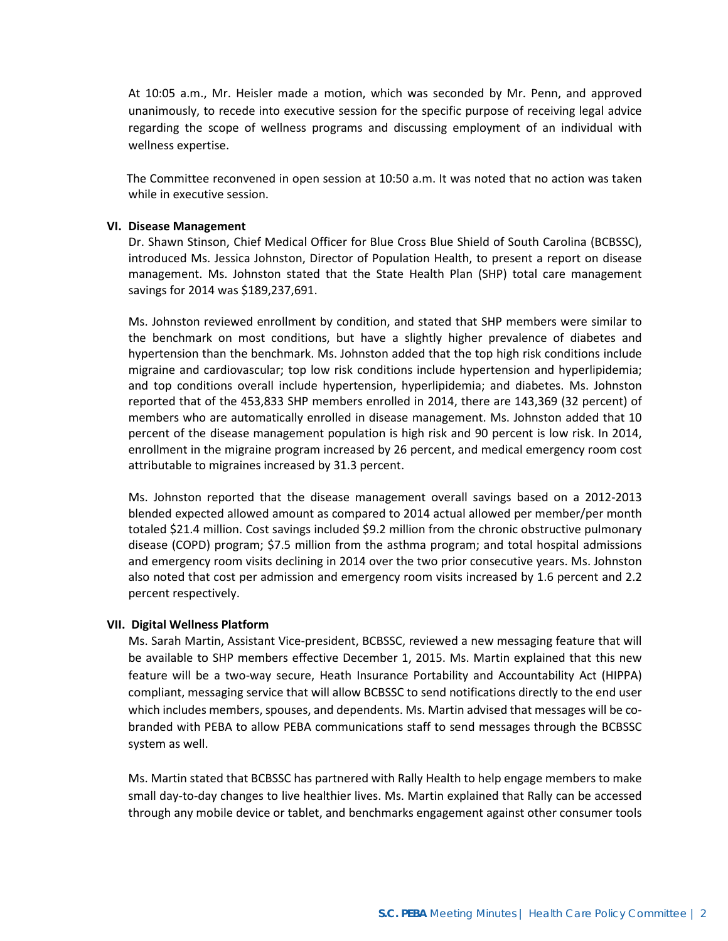At 10:05 a.m., Mr. Heisler made a motion, which was seconded by Mr. Penn, and approved unanimously, to recede into executive session for the specific purpose of receiving legal advice regarding the scope of wellness programs and discussing employment of an individual with wellness expertise.

 The Committee reconvened in open session at 10:50 a.m. It was noted that no action was taken while in executive session.

#### **VI. Disease Management**

Dr. Shawn Stinson, Chief Medical Officer for Blue Cross Blue Shield of South Carolina (BCBSSC), introduced Ms. Jessica Johnston, Director of Population Health, to present a report on disease management. Ms. Johnston stated that the State Health Plan (SHP) total care management savings for 2014 was \$189,237,691.

Ms. Johnston reviewed enrollment by condition, and stated that SHP members were similar to the benchmark on most conditions, but have a slightly higher prevalence of diabetes and hypertension than the benchmark. Ms. Johnston added that the top high risk conditions include migraine and cardiovascular; top low risk conditions include hypertension and hyperlipidemia; and top conditions overall include hypertension, hyperlipidemia; and diabetes. Ms. Johnston reported that of the 453,833 SHP members enrolled in 2014, there are 143,369 (32 percent) of members who are automatically enrolled in disease management. Ms. Johnston added that 10 percent of the disease management population is high risk and 90 percent is low risk. In 2014, enrollment in the migraine program increased by 26 percent, and medical emergency room cost attributable to migraines increased by 31.3 percent.

Ms. Johnston reported that the disease management overall savings based on a 2012-2013 blended expected allowed amount as compared to 2014 actual allowed per member/per month totaled \$21.4 million. Cost savings included \$9.2 million from the chronic obstructive pulmonary disease (COPD) program; \$7.5 million from the asthma program; and total hospital admissions and emergency room visits declining in 2014 over the two prior consecutive years. Ms. Johnston also noted that cost per admission and emergency room visits increased by 1.6 percent and 2.2 percent respectively.

#### **VII. Digital Wellness Platform**

Ms. Sarah Martin, Assistant Vice-president, BCBSSC, reviewed a new messaging feature that will be available to SHP members effective December 1, 2015. Ms. Martin explained that this new feature will be a two-way secure, Heath Insurance Portability and Accountability Act (HIPPA) compliant, messaging service that will allow BCBSSC to send notifications directly to the end user which includes members, spouses, and dependents. Ms. Martin advised that messages will be cobranded with PEBA to allow PEBA communications staff to send messages through the BCBSSC system as well.

Ms. Martin stated that BCBSSC has partnered with Rally Health to help engage members to make small day-to-day changes to live healthier lives. Ms. Martin explained that Rally can be accessed through any mobile device or tablet, and benchmarks engagement against other consumer tools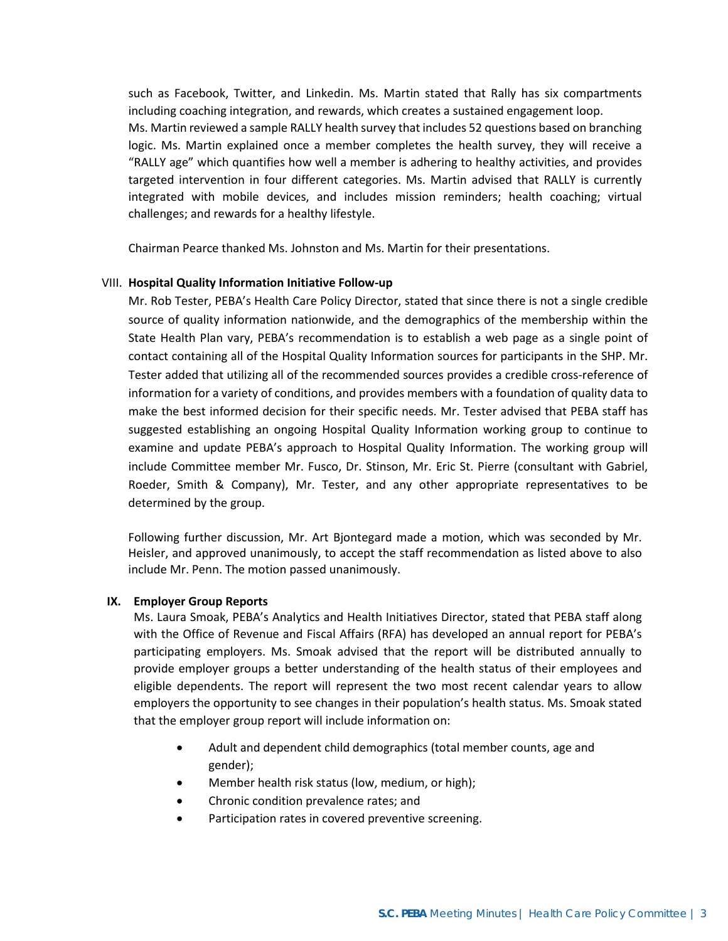such as Facebook, Twitter, and Linkedin. Ms. Martin stated that Rally has six compartments including coaching integration, and rewards, which creates a sustained engagement loop. Ms. Martin reviewed a sample RALLY health survey that includes 52 questions based on branching logic. Ms. Martin explained once a member completes the health survey, they will receive a "RALLY age" which quantifies how well a member is adhering to healthy activities, and provides targeted intervention in four different categories. Ms. Martin advised that RALLY is currently integrated with mobile devices, and includes mission reminders; health coaching; virtual

Chairman Pearce thanked Ms. Johnston and Ms. Martin for their presentations.

## VIII. **Hospital Quality Information Initiative Follow-up**

challenges; and rewards for a healthy lifestyle.

Mr. Rob Tester, PEBA's Health Care Policy Director, stated that since there is not a single credible source of quality information nationwide, and the demographics of the membership within the State Health Plan vary, PEBA's recommendation is to establish a web page as a single point of contact containing all of the Hospital Quality Information sources for participants in the SHP. Mr. Tester added that utilizing all of the recommended sources provides a credible cross-reference of information for a variety of conditions, and provides members with a foundation of quality data to make the best informed decision for their specific needs. Mr. Tester advised that PEBA staff has suggested establishing an ongoing Hospital Quality Information working group to continue to examine and update PEBA's approach to Hospital Quality Information. The working group will include Committee member Mr. Fusco, Dr. Stinson, Mr. Eric St. Pierre (consultant with Gabriel, Roeder, Smith & Company), Mr. Tester, and any other appropriate representatives to be determined by the group.

Following further discussion, Mr. Art Bjontegard made a motion, which was seconded by Mr. Heisler, and approved unanimously, to accept the staff recommendation as listed above to also include Mr. Penn. The motion passed unanimously.

### **IX. Employer Group Reports**

Ms. Laura Smoak, PEBA's Analytics and Health Initiatives Director, stated that PEBA staff along with the Office of Revenue and Fiscal Affairs (RFA) has developed an annual report for PEBA's participating employers. Ms. Smoak advised that the report will be distributed annually to provide employer groups a better understanding of the health status of their employees and eligible dependents. The report will represent the two most recent calendar years to allow employers the opportunity to see changes in their population's health status. Ms. Smoak stated that the employer group report will include information on:

- Adult and dependent child demographics (total member counts, age and gender);
- Member health risk status (low, medium, or high);
- Chronic condition prevalence rates; and
- Participation rates in covered preventive screening.